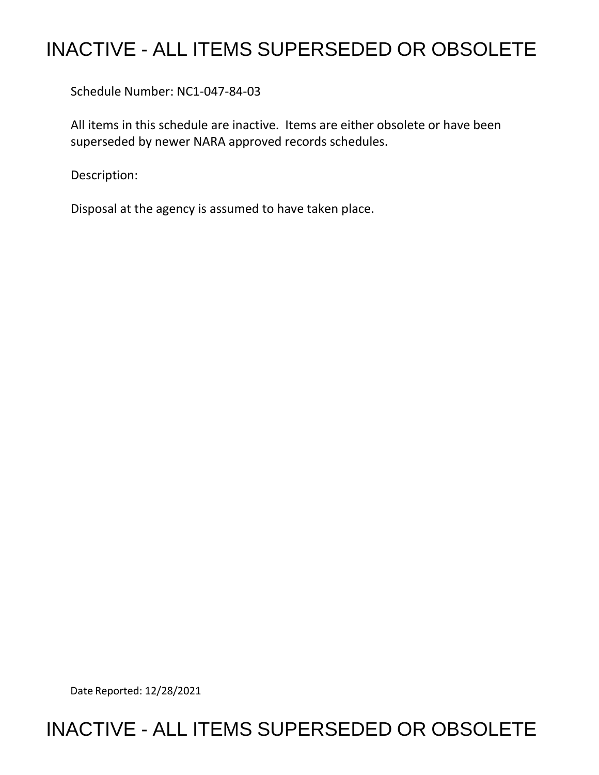# INACTIVE - ALL ITEMS SUPERSEDED OR OBSOLETE

Schedule Number: NC1-047-84-03

All items in this schedule are inactive. Items are either obsolete or have been superseded by newer NARA approved records schedules.

Description:

Disposal at the agency is assumed to have taken place.

Date Reported: 12/28/2021

## INACTIVE - ALL ITEMS SUPERSEDED OR OBSOLETE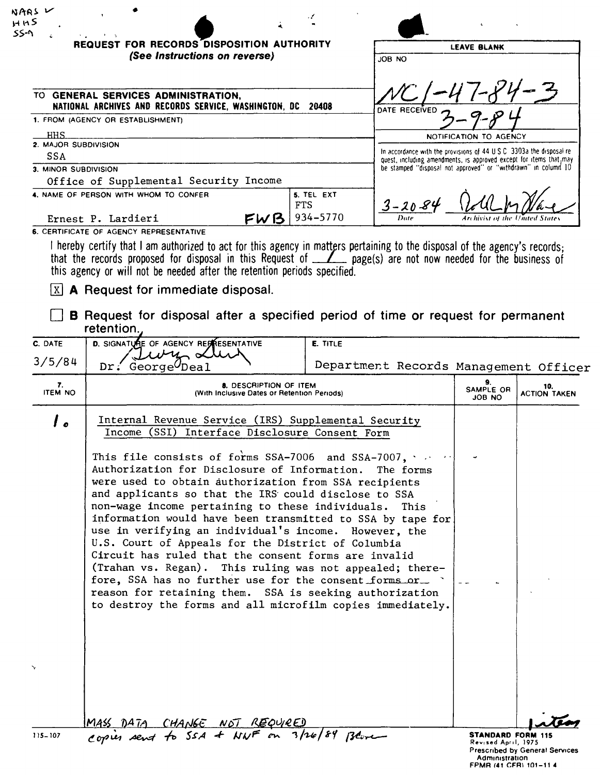|                                    | <b>REQUEST FOR RECORDS DISPOSITION AUTHORITY</b><br>(See Instructions on reverse)                                                                                                                                                                                                                                                                                 |                        | JOB NO                                                                                                                                |                                  | <b>LEAVE BLANK</b>         |  |
|------------------------------------|-------------------------------------------------------------------------------------------------------------------------------------------------------------------------------------------------------------------------------------------------------------------------------------------------------------------------------------------------------------------|------------------------|---------------------------------------------------------------------------------------------------------------------------------------|----------------------------------|----------------------------|--|
|                                    |                                                                                                                                                                                                                                                                                                                                                                   |                        |                                                                                                                                       |                                  |                            |  |
|                                    | TO GENERAL SERVICES ADMINISTRATION,                                                                                                                                                                                                                                                                                                                               |                        |                                                                                                                                       |                                  |                            |  |
|                                    | NATIONAL ARCHIVES AND RECORDS SERVICE, WASHINGTON, DC 20408<br>1. FROM (AGENCY OR ESTABLISHMENT)                                                                                                                                                                                                                                                                  |                        | DATE RECEIVED                                                                                                                         |                                  |                            |  |
| HHS                                |                                                                                                                                                                                                                                                                                                                                                                   |                        |                                                                                                                                       | <b>NOTIFICATION TO AGENCY</b>    |                            |  |
| 2. MAJOR SUBDIVISION<br><b>SSA</b> |                                                                                                                                                                                                                                                                                                                                                                   |                        | In accordance with the provisions of $44 \cup S \cup C$ 3303a the disposal re-                                                        |                                  |                            |  |
| 3. MINOR SUBDIVISION               |                                                                                                                                                                                                                                                                                                                                                                   |                        | quest, including amendments, is approved except for items that, may<br>be stamped "disposal not approved" or "withdrawn" in column 10 |                                  |                            |  |
|                                    | Office of Supplemental Security Income                                                                                                                                                                                                                                                                                                                            |                        |                                                                                                                                       |                                  |                            |  |
|                                    | 4. NAME OF PERSON WITH WHOM TO CONFER<br><b>FTS</b><br>FWB<br>Ernest P. Lardieri                                                                                                                                                                                                                                                                                  | 5. TEL EXT<br>934-5770 | $3 - 20 - 84$<br>Date                                                                                                                 | Archivist of the United State    |                            |  |
|                                    | 6. CERTIFICATE OF AGENCY REPRESENTATIVE                                                                                                                                                                                                                                                                                                                           |                        |                                                                                                                                       |                                  |                            |  |
| X                                  | I hereby certify that I am authorized to act for this agency in matters pertaining to the disposal of the agency's records;<br>that the records proposed for disposal in this Request of <u>Z</u> page(s) are not now needed for the business of<br>this agency or will not be needed after the retention periods specified.<br>A Request for immediate disposal. |                        |                                                                                                                                       |                                  |                            |  |
|                                    | <b>B</b> Request for disposal after a specified period of time or request for permanent<br>retention.                                                                                                                                                                                                                                                             |                        |                                                                                                                                       |                                  |                            |  |
|                                    |                                                                                                                                                                                                                                                                                                                                                                   |                        |                                                                                                                                       |                                  |                            |  |
| C. DATE                            | D. SIGNATURE OF AGENCY REPRESENTATIVE                                                                                                                                                                                                                                                                                                                             | E. TITLE               |                                                                                                                                       |                                  |                            |  |
| 3/5/84                             | $Dr$ . George $U$ Deal                                                                                                                                                                                                                                                                                                                                            |                        | Department Records Management Officer                                                                                                 |                                  |                            |  |
| 7.<br><b>ITEM NO</b>               | 8. DESCRIPTION OF ITEM<br>(With Inclusive Dates or Retention Periods)                                                                                                                                                                                                                                                                                             |                        |                                                                                                                                       | 9.<br>SAMPLE OR<br><b>JOB NO</b> | 10.<br><b>ACTION TAKEN</b> |  |
| ه ا                                | Internal Revenue Service (IRS) Supplemental Security<br>Income (SSI) Interface Disclosure Consent Form                                                                                                                                                                                                                                                            |                        |                                                                                                                                       |                                  |                            |  |

MASS DATA CHANGE NOT REQUIRED<br>copies sent to SSA & NWF on 3/26/84 Blove

**STANDARD FORM 115**<br>Revised April, 1975<br>Prescribed by General Services<br>- Administration<br>FPMR (41 CFR\ 101-11 4